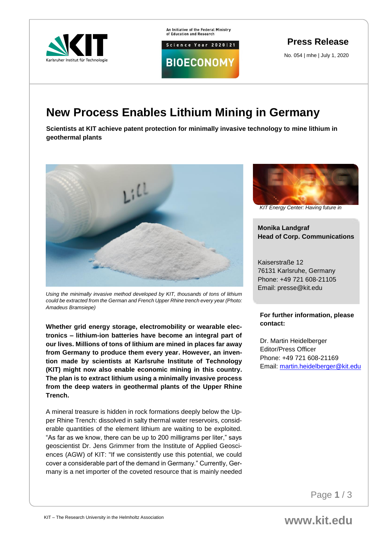

An Initiative of the Federal Ministry<br>of Education and Research

**BIOECONOMY** 

Science Year 2020 | 21

**Press Release**

No. 054 | mhe | July 1, 2020

## **New Process Enables Lithium Mining in Germany**

**Scientists at KIT achieve patent protection for minimally invasive technology to mine lithium in geothermal plants**



*Using the minimally invasive method developed by KIT, thousands of tons of lithium could be extracted from the German and French Upper Rhine trench every year (Photo: Amadeus Bramsiepe)*

**Whether grid energy storage, electromobility or wearable electronics – lithium-ion batteries have become an integral part of our lives. Millions of tons of lithium are mined in places far away from Germany to produce them every year. However, an invention made by scientists at Karlsruhe Institute of Technology (KIT) might now also enable economic mining in this country. The plan is to extract lithium using a minimally invasive process from the deep waters in geothermal plants of the Upper Rhine Trench.**

A mineral treasure is hidden in rock formations deeply below the Upper Rhine Trench: dissolved in salty thermal water reservoirs, considerable quantities of the element lithium are waiting to be exploited. "As far as we know, there can be up to 200 milligrams per liter," says geoscientist Dr. Jens Grimmer from the Institute of Applied Geosciences (AGW) of KIT: "If we consistently use this potential, we could cover a considerable part of the demand in Germany." Currently, Germany is a net importer of the coveted resource that is mainly needed



*KIT Energy Center: Having future in* 

*mind*

**Monika Landgraf Head of Corp. Communications**

Kaiserstraße 12 76131 Karlsruhe, Germany Phone: +49 721 608-21105 Email: presse@kit.edu

**For further information, please contact:**

Dr. Martin Heidelberger Editor/Press Officer Phone: +49 721 608-21169 Email: [martin.heidelberger@kit.edu](mailto:martin.heidelberger@kit.edu)

Page **1** / 3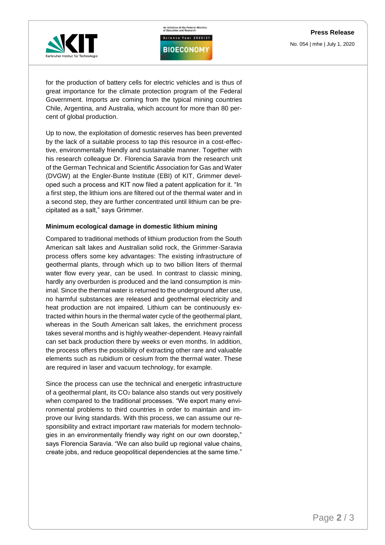An Initiative of the Federal Ministry<br>of Education and Research Science Year 2020 | 21



**BIOECONOMY** 

for the production of battery cells for electric vehicles and is thus of great importance for the climate protection program of the Federal Government. Imports are coming from the typical mining countries Chile, Argentina, and Australia, which account for more than 80 percent of global production.

Up to now, the exploitation of domestic reserves has been prevented by the lack of a suitable process to tap this resource in a cost-effective, environmentally friendly and sustainable manner. Together with his research colleague Dr. Florencia Saravia from the research unit of the German Technical and Scientific Association for Gas and Water (DVGW) at the Engler-Bunte Institute (EBI) of KIT, Grimmer developed such a process and KIT now filed a patent application for it. "In a first step, the lithium ions are filtered out of the thermal water and in a second step, they are further concentrated until lithium can be precipitated as a salt," says Grimmer.

## **Minimum ecological damage in domestic lithium mining**

Compared to traditional methods of lithium production from the South American salt lakes and Australian solid rock, the Grimmer-Saravia process offers some key advantages: The existing infrastructure of geothermal plants, through which up to two billion liters of thermal water flow every year, can be used. In contrast to classic mining, hardly any overburden is produced and the land consumption is minimal. Since the thermal water is returned to the underground after use, no harmful substances are released and geothermal electricity and heat production are not impaired. Lithium can be continuously extracted within hours in the thermal water cycle of the geothermal plant, whereas in the South American salt lakes, the enrichment process takes several months and is highly weather-dependent. Heavy rainfall can set back production there by weeks or even months. In addition, the process offers the possibility of extracting other rare and valuable elements such as rubidium or cesium from the thermal water. These are required in laser and vacuum technology, for example.

Since the process can use the technical and energetic infrastructure of a geothermal plant, its CO<sup>2</sup> balance also stands out very positively when compared to the traditional processes. "We export many environmental problems to third countries in order to maintain and improve our living standards. With this process, we can assume our responsibility and extract important raw materials for modern technologies in an environmentally friendly way right on our own doorstep," says Florencia Saravia. "We can also build up regional value chains, create jobs, and reduce geopolitical dependencies at the same time."